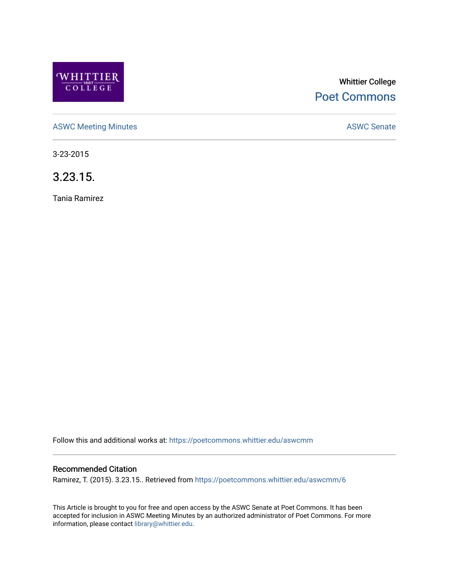

# Whittier College [Poet Commons](https://poetcommons.whittier.edu/)

[ASWC Meeting Minutes](https://poetcommons.whittier.edu/aswcmm) **ASWC Senate** 

3-23-2015

3.23.15.

Tania Ramirez

Follow this and additional works at: [https://poetcommons.whittier.edu/aswcmm](https://poetcommons.whittier.edu/aswcmm?utm_source=poetcommons.whittier.edu%2Faswcmm%2F6&utm_medium=PDF&utm_campaign=PDFCoverPages)

#### Recommended Citation

Ramirez, T. (2015). 3.23.15.. Retrieved from [https://poetcommons.whittier.edu/aswcmm/6](https://poetcommons.whittier.edu/aswcmm/6?utm_source=poetcommons.whittier.edu%2Faswcmm%2F6&utm_medium=PDF&utm_campaign=PDFCoverPages) 

This Article is brought to you for free and open access by the ASWC Senate at Poet Commons. It has been accepted for inclusion in ASWC Meeting Minutes by an authorized administrator of Poet Commons. For more information, please contact [library@whittier.edu.](mailto:library@whittier.edu)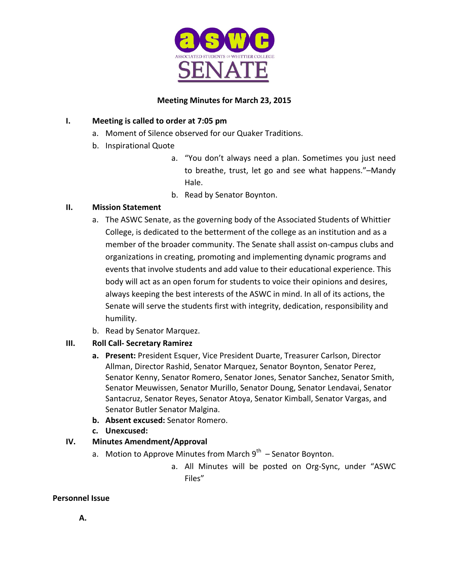

## **Meeting Minutes for March 23, 2015**

# **I.** Meeting is called to order at 7:05 pm

- a. Moment of Silence observed for our Quaker Traditions.
- b. Inspirational Quote
	- a. "You don't always need a plan. Sometimes you just need to breathe, trust, let go and see what happens."-Mandy Hale.
	- b. Read by Senator Boynton.

## **II. Mission Statement**

- a. The ASWC Senate, as the governing body of the Associated Students of Whittier College, is dedicated to the betterment of the college as an institution and as a member of the broader community. The Senate shall assist on-campus clubs and organizations in creating, promoting and implementing dynamic programs and events that involve students and add value to their educational experience. This body will act as an open forum for students to voice their opinions and desires, always keeping the best interests of the ASWC in mind. In all of its actions, the Senate will serve the students first with integrity, dedication, responsibility and humility.
- b. Read by Senator Marquez.

# **III. Roll Call- Secretary Ramirez**

- **a.** Present: President Esquer, Vice President Duarte, Treasurer Carlson, Director Allman, Director Rashid, Senator Marquez, Senator Boynton, Senator Perez, Senator Kenny, Senator Romero, Senator Jones, Senator Sanchez, Senator Smith, Senator Meuwissen, Senator Murillo, Senator Doung, Senator Lendavai, Senator Santacruz, Senator Reyes, Senator Atoya, Senator Kimball, Senator Vargas, and Senator Butler Senator Malgina.
- **b. Absent excused:** Senator Romero.
- **c. Unexcused:**

# **IV. Minutes Amendment/Approval**

- a. Motion to Approve Minutes from March  $9^{th}$  Senator Boynton.
	- a. All Minutes will be posted on Org-Sync, under "ASWC Files"

## **Personnel Issue**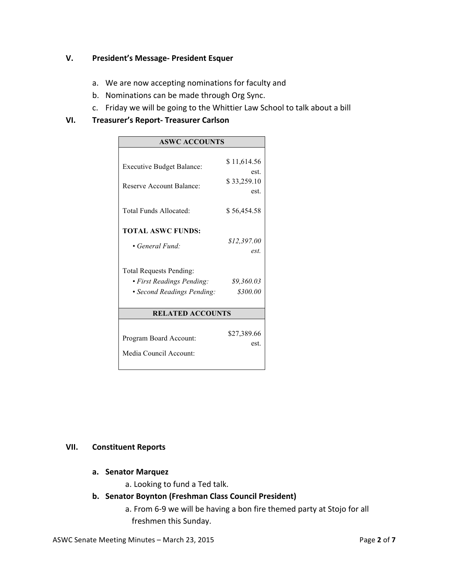## **V.** President's Message- President Esquer

- a. We are now accepting nominations for faculty and
- b. Nominations can be made through Org Sync.
- c. Friday we will be going to the Whittier Law School to talk about a bill

#### **VI. Treasurer's Report- Treasurer Carlson**

| <b>ASWC ACCOUNTS</b>                            |  |
|-------------------------------------------------|--|
|                                                 |  |
| \$11,614.56<br><b>Executive Budget Balance:</b> |  |
| est.                                            |  |
| \$33,259.10<br>Reserve Account Balance:<br>est. |  |
|                                                 |  |
| Total Funds Allocated:<br>\$56,454.58           |  |
|                                                 |  |
| <b>TOTAL ASWC FUNDS:</b>                        |  |
| \$12,397.00<br>• General Fund:                  |  |
| est.                                            |  |
| <b>Total Requests Pending:</b>                  |  |
| • First Readings Pending:<br>\$9,360.03         |  |
| \$300.00<br>• Second Readings Pending:          |  |
|                                                 |  |
| <b>RELATED ACCOUNTS</b>                         |  |
|                                                 |  |
| \$27,389.66<br>Program Board Account:<br>est.   |  |
| Media Council Account:                          |  |
|                                                 |  |

#### **VII. Constituent Reports**

- **a. Senator Marquez** 
	- a. Looking to fund a Ted talk.
- **b. Senator Boynton (Freshman Class Council President)**
	- a. From 6-9 we will be having a bon fire themed party at Stojo for all freshmen this Sunday.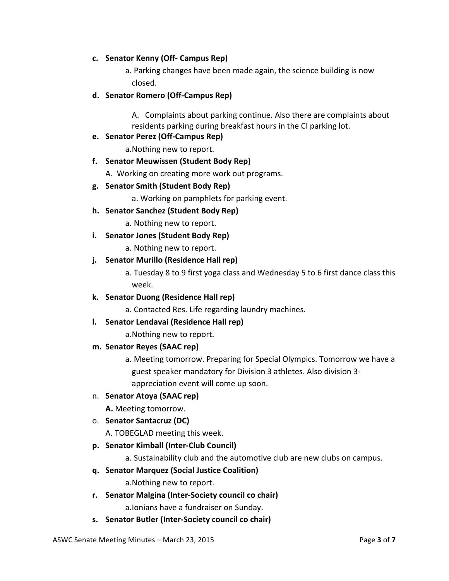#### **c. Senator Kenny (Off- Campus Rep)**

a. Parking changes have been made again, the science building is now closed. 

#### **d. Senator Romero (Off-Campus Rep)**

A. Complaints about parking continue. Also there are complaints about residents parking during breakfast hours in the CI parking lot.

#### **e. Senator Perez (Off-Campus Rep)**

a. Nothing new to report.

#### **f. Senator Meuwissen (Student Body Rep)**

A. Working on creating more work out programs.

#### **g. Senator Smith (Student Body Rep)**

a. Working on pamphlets for parking event.

#### **h. Senator Sanchez (Student Body Rep)**

a. Nothing new to report.

#### **i.** Senator Jones (Student Body Rep)

a. Nothing new to report.

#### **j.** Senator Murillo (Residence Hall rep)

a. Tuesday 8 to 9 first yoga class and Wednesday 5 to 6 first dance class this week. 

#### **k. Senator Duong (Residence Hall rep)**

a. Contacted Res. Life regarding laundry machines.

## **l.** Senator Lendavai (Residence Hall rep)

a. Nothing new to report.

#### **m. Senator Reyes (SAAC rep)**

a. Meeting tomorrow. Preparing for Special Olympics. Tomorrow we have a guest speaker mandatory for Division 3 athletes. Also division 3appreciation event will come up soon.

## n. **Senator Atoya (SAAC rep)**

A. Meeting tomorrow.

## o. **Senator Santacruz (DC)**

A. TOBEGLAD meeting this week.

## **p. Senator Kimball (Inter-Club Council)**

a. Sustainability club and the automotive club are new clubs on campus.

## **q. Senator Marquez (Social Justice Coalition)**

a. Nothing new to report.

- **r. Senator Malgina (Inter-Society council co chair)** a. Ionians have a fundraiser on Sunday.
- s. Senator Butler (Inter-Society council co chair)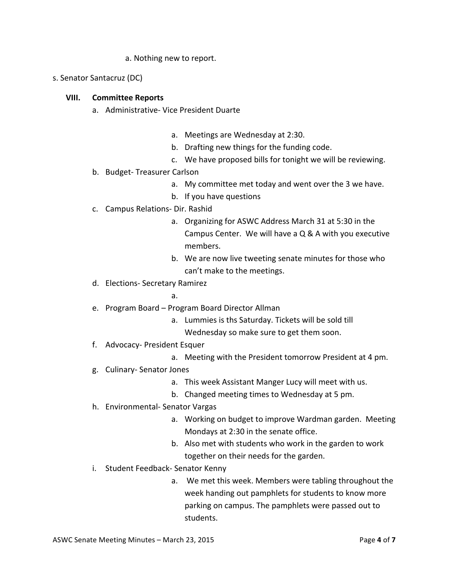- a. Nothing new to report.
- s. Senator Santacruz (DC)

#### **VIII. Committee Reports**

- a. Administrative- Vice President Duarte
	- a. Meetings are Wednesday at 2:30.
	- b. Drafting new things for the funding code.
	- c. We have proposed bills for tonight we will be reviewing.
- b. Budget-Treasurer Carlson
	- a. My committee met today and went over the 3 we have.
	- b. If you have questions
- c. Campus Relations- Dir. Rashid
	- a. Organizing for ASWC Address March 31 at 5:30 in the Campus Center. We will have a  $Q & A$  with you executive members.
	- b. We are now live tweeting senate minutes for those who can't make to the meetings.
- d. Elections- Secretary Ramirez
	- a.
- e. Program Board Program Board Director Allman
	- a. Lummies is ths Saturday. Tickets will be sold till Wednesday so make sure to get them soon.
- f. Advocacy- President Esquer
	- a. Meeting with the President tomorrow President at 4 pm.
- g. Culinary-Senator Jones
	- a. This week Assistant Manger Lucy will meet with us.
	- b. Changed meeting times to Wednesday at 5 pm.
- h. Environmental- Senator Vargas
	- a. Working on budget to improve Wardman garden. Meeting Mondays at 2:30 in the senate office.
	- b. Also met with students who work in the garden to work together on their needs for the garden.
- i. Student Feedback- Senator Kenny
	- a. We met this week. Members were tabling throughout the week handing out pamphlets for students to know more parking on campus. The pamphlets were passed out to students.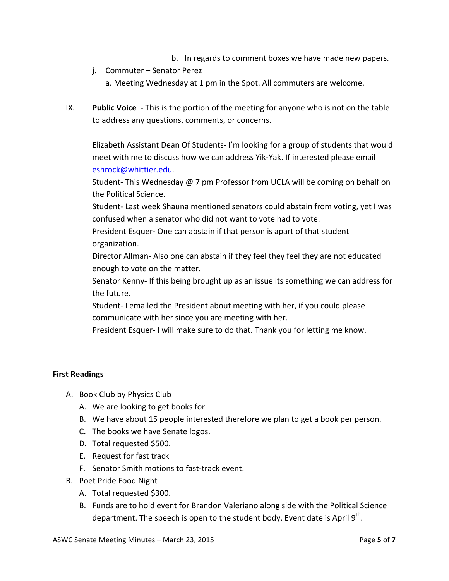- b. In regards to comment boxes we have made new papers.
- j. Commuter Senator Perez a. Meeting Wednesday at 1 pm in the Spot. All commuters are welcome.
- IX. **Public Voice** This is the portion of the meeting for anyone who is not on the table to address any questions, comments, or concerns.

Elizabeth Assistant Dean Of Students- I'm looking for a group of students that would meet with me to discuss how we can address Yik-Yak. If interested please email eshrock@whittier.edu. 

Student- This Wednesday  $\omega$  7 pm Professor from UCLA will be coming on behalf on the Political Science.

Student- Last week Shauna mentioned senators could abstain from voting, yet I was confused when a senator who did not want to vote had to vote.

President Esquer- One can abstain if that person is apart of that student organization. 

Director Allman- Also one can abstain if they feel they feel they are not educated enough to vote on the matter.

Senator Kenny- If this being brought up as an issue its something we can address for the future.

Student-I emailed the President about meeting with her, if you could please communicate with her since you are meeting with her.

President Esquer- I will make sure to do that. Thank you for letting me know.

## **First Readings**

- A. Book Club by Physics Club
	- A. We are looking to get books for
	- B. We have about 15 people interested therefore we plan to get a book per person.
	- C. The books we have Senate logos.
	- D. Total requested \$500.
	- E. Request for fast track
	- F. Senator Smith motions to fast-track event.
- B. Poet Pride Food Night
	- A. Total requested \$300.
	- B. Funds are to hold event for Brandon Valeriano along side with the Political Science department. The speech is open to the student body. Event date is April  $9<sup>th</sup>$ .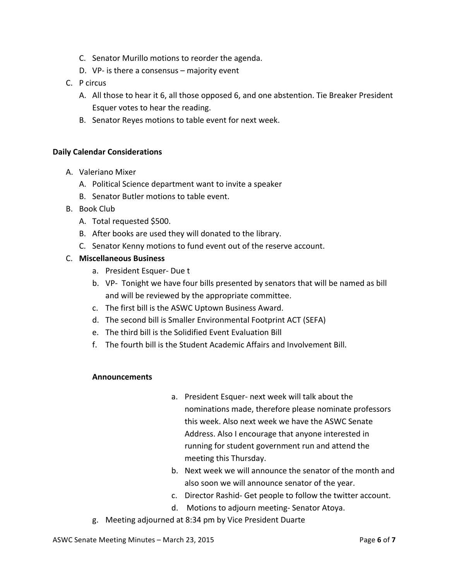- C. Senator Murillo motions to reorder the agenda.
- D. VP- is there a consensus  $-$  majority event
- C. P circus
	- A. All those to hear it 6, all those opposed 6, and one abstention. Tie Breaker President Esquer votes to hear the reading.
	- B. Senator Reyes motions to table event for next week.

#### **Daily Calendar Considerations**

- A. Valeriano Mixer
	- A. Political Science department want to invite a speaker
	- B. Senator Butler motions to table event.
- B. Book Club
	- A. Total requested \$500.
	- B. After books are used they will donated to the library.
	- C. Senator Kenny motions to fund event out of the reserve account.

#### C. **Miscellaneous Business**

- a. President Esquer- Due t
- b. VP- Tonight we have four bills presented by senators that will be named as bill and will be reviewed by the appropriate committee.
- c. The first bill is the ASWC Uptown Business Award.
- d. The second bill is Smaller Environmental Footprint ACT (SEFA)
- e. The third bill is the Solidified Event Evaluation Bill
- f. The fourth bill is the Student Academic Affairs and Involvement Bill.

#### **Announcements**

- a. President Esquer- next week will talk about the nominations made, therefore please nominate professors this week. Also next week we have the ASWC Senate Address. Also I encourage that anyone interested in running for student government run and attend the meeting this Thursday.
- b. Next week we will announce the senator of the month and also soon we will announce senator of the year.
- c. Director Rashid- Get people to follow the twitter account.
- d. Motions to adjourn meeting- Senator Atoya.
- g. Meeting adjourned at 8:34 pm by Vice President Duarte